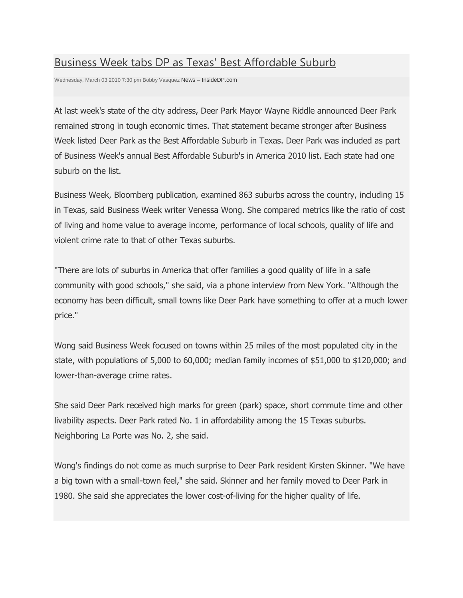## [Business Week tabs DP as Texas' Best Affordable Suburb](http://insidedp.com/int/the-news/474-business-week-tabs-dp-as-texas-best-affordable-suburb)

Wednesday, March 03 2010 7:30 pm Bobby Vasquez News – InsideDP.com

At last week's state of the city address, Deer Park Mayor Wayne Riddle announced Deer Park remained strong in tough economic times. That statement became stronger after Business Week listed Deer Park as the Best Affordable Suburb in Texas. Deer Park was included as part of Business Week's annual Best Affordable Suburb's in America 2010 list. Each state had one suburb on the list.

Business Week, Bloomberg publication, examined 863 suburbs across the country, including 15 in Texas, said Business Week writer Venessa Wong. She compared metrics like the ratio of cost of living and home value to average income, performance of local schools, quality of life and violent crime rate to that of other Texas suburbs.

"There are lots of suburbs in America that offer families a good quality of life in a safe community with good schools," she said, via a phone interview from New York. "Although the economy has been difficult, small towns like Deer Park have something to offer at a much lower price."

Wong said Business Week focused on towns within 25 miles of the most populated city in the state, with populations of 5,000 to 60,000; median family incomes of \$51,000 to \$120,000; and lower-than-average crime rates.

She said Deer Park received high marks for green (park) space, short commute time and other livability aspects. Deer Park rated No. 1 in affordability among the 15 Texas suburbs. Neighboring La Porte was No. 2, she said.

Wong's findings do not come as much surprise to Deer Park resident Kirsten Skinner. "We have a big town with a small-town feel," she said. Skinner and her family moved to Deer Park in 1980. She said she appreciates the lower cost-of-living for the higher quality of life.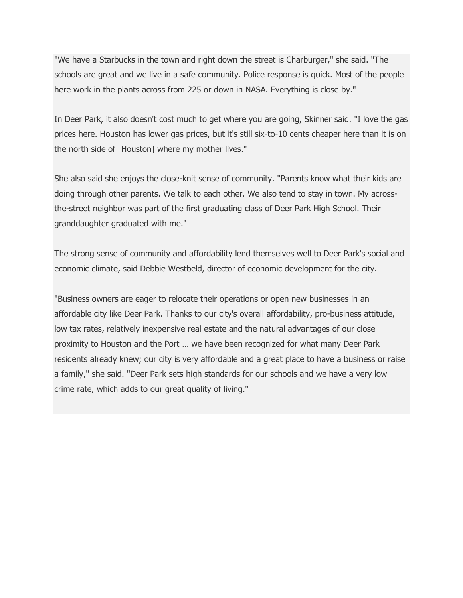"We have a Starbucks in the town and right down the street is Charburger," she said. "The schools are great and we live in a safe community. Police response is quick. Most of the people here work in the plants across from 225 or down in NASA. Everything is close by."

In Deer Park, it also doesn't cost much to get where you are going, Skinner said. "I love the gas prices here. Houston has lower gas prices, but it's still six-to-10 cents cheaper here than it is on the north side of [Houston] where my mother lives."

She also said she enjoys the close-knit sense of community. "Parents know what their kids are doing through other parents. We talk to each other. We also tend to stay in town. My acrossthe-street neighbor was part of the first graduating class of Deer Park High School. Their granddaughter graduated with me."

The strong sense of community and affordability lend themselves well to Deer Park's social and economic climate, said Debbie Westbeld, director of economic development for the city.

"Business owners are eager to relocate their operations or open new businesses in an affordable city like Deer Park. Thanks to our city's overall affordability, pro-business attitude, low tax rates, relatively inexpensive real estate and the natural advantages of our close proximity to Houston and the Port … we have been recognized for what many Deer Park residents already knew; our city is very affordable and a great place to have a business or raise a family," she said. "Deer Park sets high standards for our schools and we have a very low crime rate, which adds to our great quality of living."